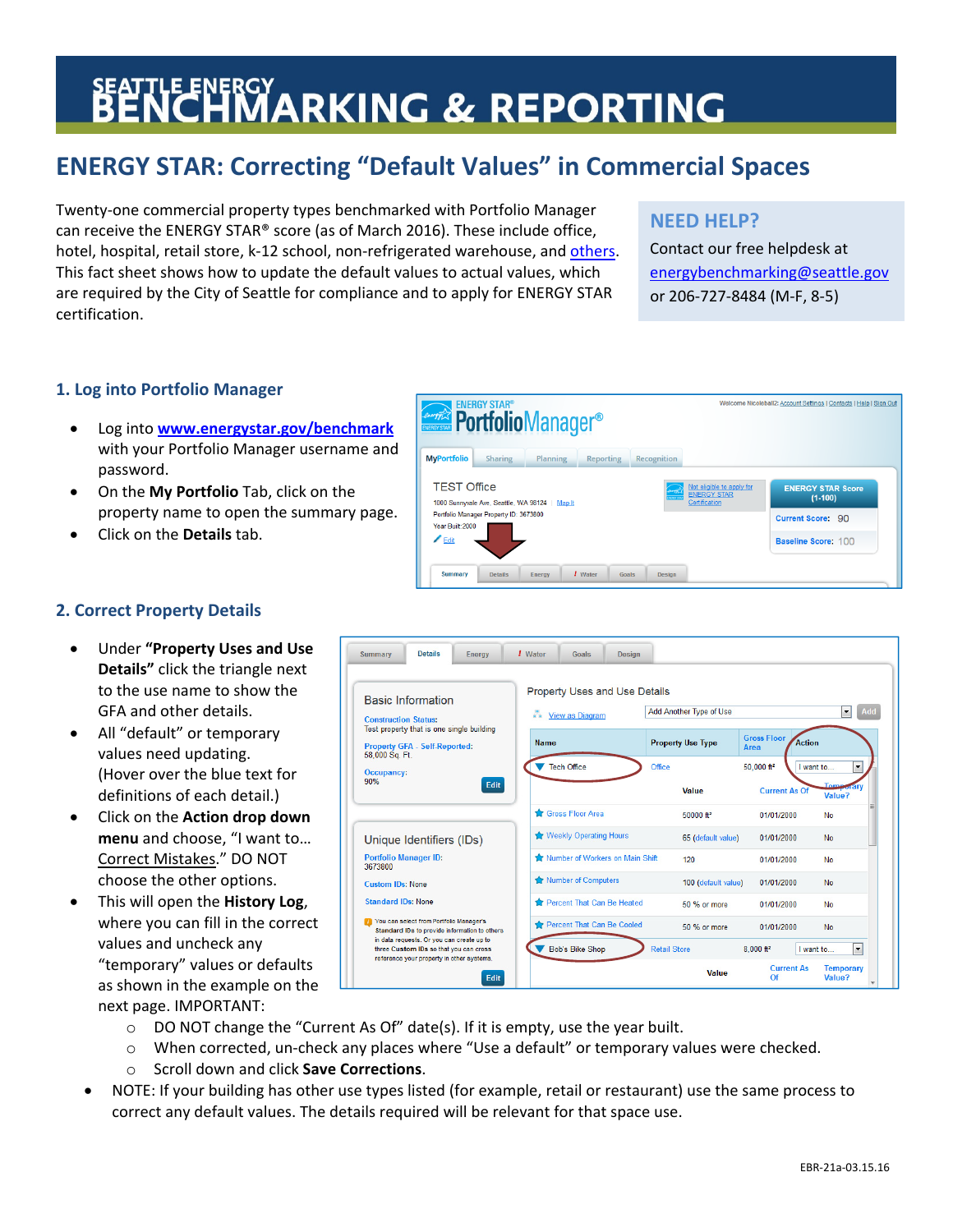# **BENCHMARKING & REPORTING**

# **ENERGY STAR: Correcting "Default Values" in Commercial Spaces**

Twenty‐one commercial property types benchmarked with Portfolio Manager can receive the ENERGY STAR® score (as of March 2016). These include office, hotel, hospital, retail store, k-12 school, non-refrigerated warehouse, and [others.](https://portfoliomanager.zendesk.com/hc/en-us/articles/211696137-Which-property-types-are-eligible-for-an-ENERGY-STAR-score-certification-) This fact sheet shows how to update the default values to actual values, which are required by the City of Seattle for compliance and to apply for ENERGY STAR certification.

# **NEED HELP?**

Contact our free helpdesk at energybenchmarking@seattle.gov or 206‐727‐8484 (M‐F, 8‐5)

## **1. Log into Portfolio Manager**

- Log into **www.energystar.gov/benchmark** with your Portfolio Manager username and password.
- On the **My Portfolio** Tab, click on the property name to open the summary page.
- Click on the **Details** tab.



## **2. Correct Property Details**

- Under **"Property Uses and Use Details"** click the triangle next to the use name to show the GFA and other details.
- All "default" or temporary values need updating. (Hover over the blue text for definitions of each detail.)
- Click on the **Action drop down menu** and choose, "I want to… Correct Mistakes." DO NOT choose the other options.
- This will open the **History Log**, where you can fill in the correct values and uncheck any "temporary" values or defaults as shown in the example on the next page. IMPORTANT:



- o DO NOT change the "Current As Of" date(s). If it is empty, use the year built.
- o When corrected, un‐check any places where "Use a default" or temporary values were checked.
- o Scroll down and click **Save Corrections**.
- NOTE: If your building has other use types listed (for example, retail or restaurant) use the same process to correct any default values. The details required will be relevant for that space use.